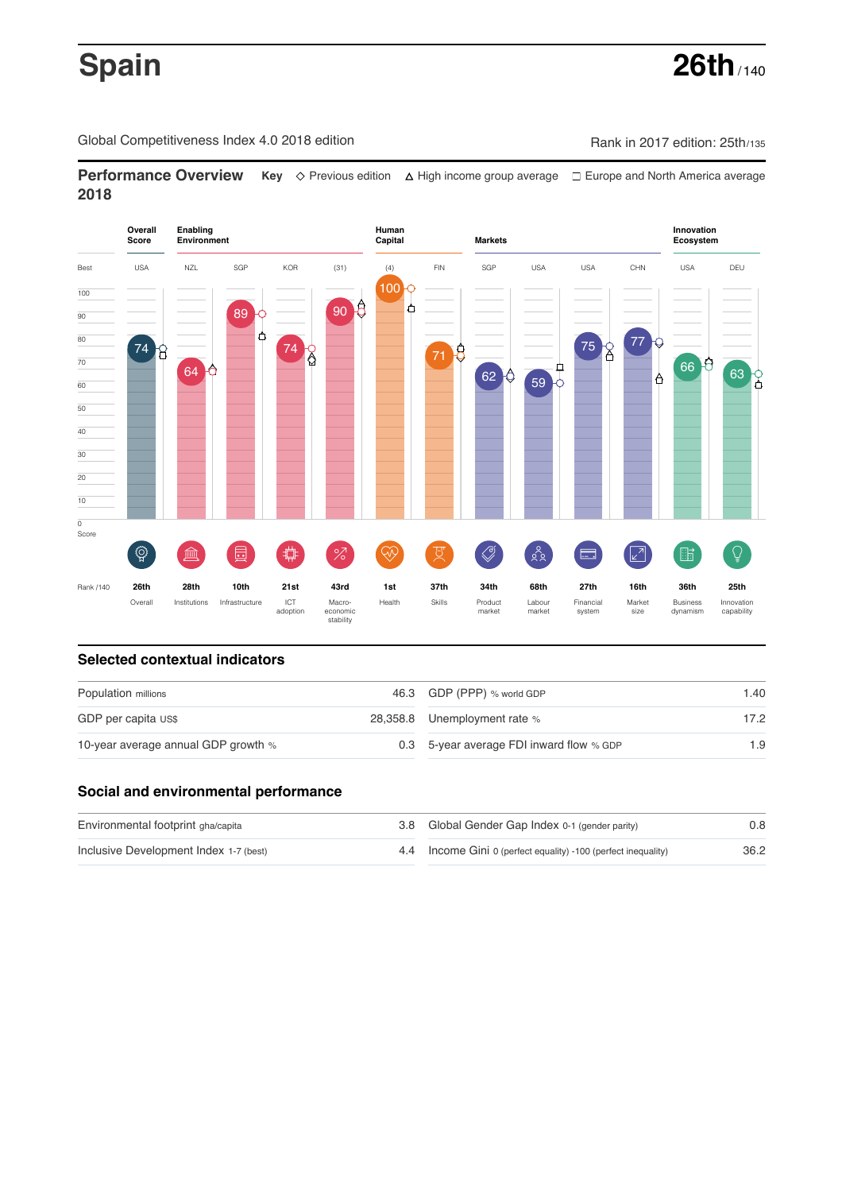# **Spain 26th** / 140

Global Competitiveness Index 4.0 2018 edition Company Rank in 2017 edition: 25th/135

**Performance Overview** Key  $\Diamond$  Previous edition ∆ High income group average  $\Box$  Europe and North America average **2018**



# **Selected contextual indicators**

| Population millions                 | 46.3 GDP (PPP) % world GDP               | 1.40 |  |
|-------------------------------------|------------------------------------------|------|--|
| GDP per capita US\$                 | 28,358.8 Unemployment rate %             | 17.2 |  |
| 10-year average annual GDP growth % | 0.3 5-year average FDI inward flow % GDP | 1.9  |  |

## **Social and environmental performance**

| Environmental footprint gha/capita     | 3.8 Global Gender Gap Index 0-1 (gender parity)                | 0.8  |
|----------------------------------------|----------------------------------------------------------------|------|
| Inclusive Development Index 1-7 (best) | 4.4 Income Gini 0 (perfect equality) -100 (perfect inequality) | 36.2 |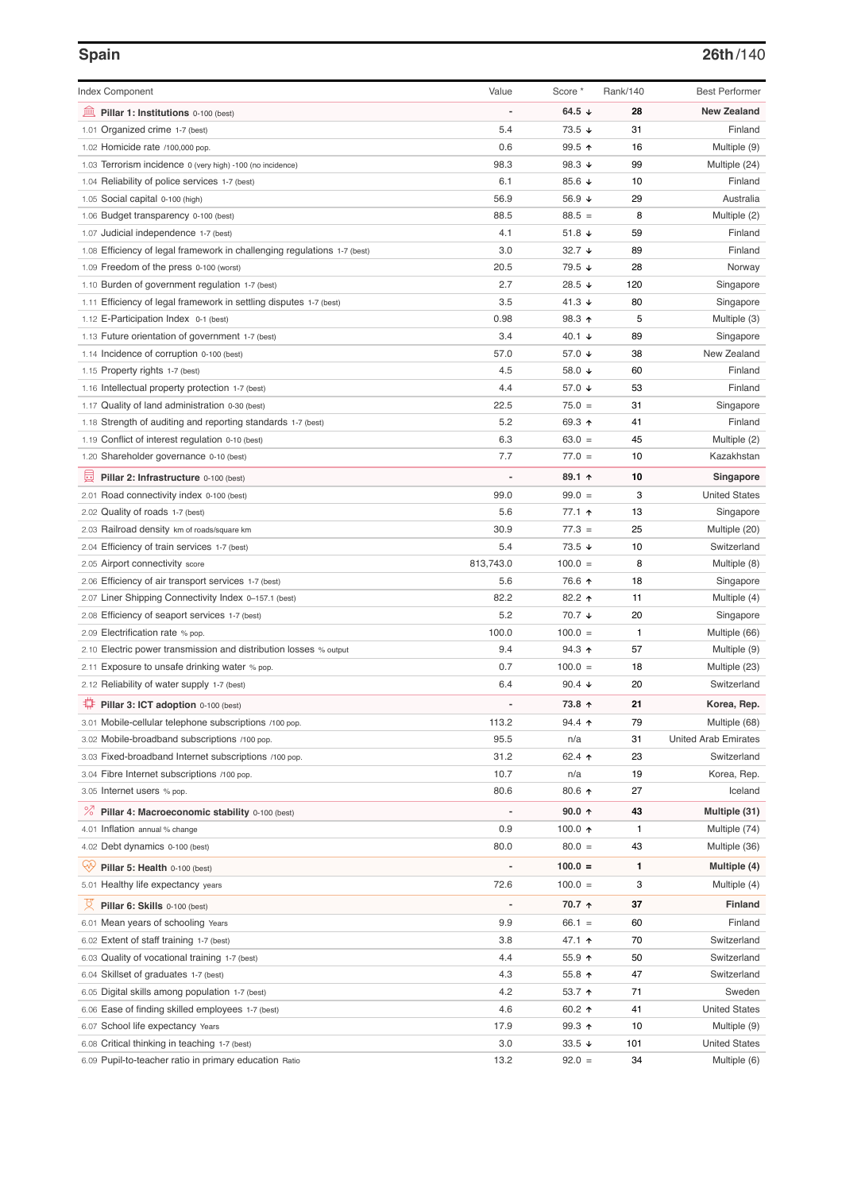# **Spain 26th**/140

| <b>Index Component</b>                                                   | Value     | Score *                  | Rank/140     | <b>Best Performer</b>         |
|--------------------------------------------------------------------------|-----------|--------------------------|--------------|-------------------------------|
| 無<br>Pillar 1: Institutions 0-100 (best)                                 |           | 64.5 $\sqrt{ }$          | 28           | <b>New Zealand</b>            |
| 1.01 Organized crime 1-7 (best)                                          | 5.4       | $73.5 +$                 | 31           | Finland                       |
| 1.02 Homicide rate /100,000 pop.                                         | 0.6       | 99.5 ↑                   | 16           |                               |
| 1.03 Terrorism incidence 0 (very high) -100 (no incidence)               | 98.3      | 98.3 $\sqrt{ }$          | 99           | Multiple (9)<br>Multiple (24) |
| 1.04 Reliability of police services 1-7 (best)                           | 6.1       | 85.6 $\sqrt{ }$          | 10           | Finland                       |
|                                                                          | 56.9      | 56.9 $\sqrt{ }$          | 29           | Australia                     |
| 1.05 Social capital 0-100 (high)                                         | 88.5      | $88.5 =$                 | 8            |                               |
| 1.06 Budget transparency 0-100 (best)                                    | 4.1       | 51.8 $\sqrt{ }$          | 59           | Multiple (2)<br>Finland       |
| 1.07 Judicial independence 1-7 (best)                                    | 3.0       | $32.7 +$                 | 89           | Finland                       |
| 1.08 Efficiency of legal framework in challenging regulations 1-7 (best) | 20.5      | 79.5 ↓                   | 28           |                               |
| 1.09 Freedom of the press 0-100 (worst)                                  |           |                          |              | Norway                        |
| 1.10 Burden of government regulation 1-7 (best)                          | 2.7       | 28.5 ↓                   | 120          | Singapore                     |
| 1.11 Efficiency of legal framework in settling disputes 1-7 (best)       | 3.5       | 41.3 $\sqrt{ }$          | 80           | Singapore                     |
| 1.12 E-Participation Index 0-1 (best)                                    | 0.98      | 98.3 ↑                   | 5            | Multiple (3)                  |
| 1.13 Future orientation of government 1-7 (best)                         | 3.4       | 40.1 $\sqrt{ }$          | 89           | Singapore                     |
| 1.14 Incidence of corruption 0-100 (best)                                | 57.0      | 57.0 ↓                   | 38           | New Zealand                   |
| 1.15 Property rights 1-7 (best)                                          | 4.5       | 58.0 ↓                   | 60           | Finland                       |
| 1.16 Intellectual property protection 1-7 (best)                         | 4.4       | 57.0 ↓                   | 53           | Finland                       |
| 1.17 Quality of land administration 0-30 (best)                          | 22.5      | $75.0 =$                 | 31           | Singapore                     |
| 1.18 Strength of auditing and reporting standards 1-7 (best)             | 5.2       | 69.3 ↑                   | 41           | Finland                       |
| 1.19 Conflict of interest regulation 0-10 (best)                         | 6.3       | $63.0 =$                 | 45           | Multiple (2)                  |
| 1.20 Shareholder governance 0-10 (best)                                  | 7.7       | $77.0 =$                 | 10           | Kazakhstan                    |
| 圓<br>Pillar 2: Infrastructure 0-100 (best)                               |           | 89.1 ↑                   | 10           | Singapore                     |
| 2.01 Road connectivity index 0-100 (best)                                | 99.0      | $99.0 =$                 | 3            | <b>United States</b>          |
| 2.02 Quality of roads 1-7 (best)                                         | 5.6       | 77.1 ተ                   | 13           | Singapore                     |
| 2.03 Railroad density km of roads/square km                              | 30.9      | $77.3 =$                 | 25           | Multiple (20)                 |
| 2.04 Efficiency of train services 1-7 (best)                             | 5.4       | $73.5 \downarrow$        | 10           | Switzerland                   |
| 2.05 Airport connectivity score                                          | 813,743.0 | $100.0 =$                | 8            | Multiple (8)                  |
| 2.06 Efficiency of air transport services 1-7 (best)                     | 5.6       | 76.6 ↑                   | 18           | Singapore                     |
| 2.07 Liner Shipping Connectivity Index 0-157.1 (best)                    | 82.2      | 82.2 ↑                   | 11           | Multiple (4)                  |
| 2.08 Efficiency of seaport services 1-7 (best)                           | 5.2       | 70.7 ↓                   | 20           | Singapore                     |
| 2.09 Electrification rate % pop.                                         | 100.0     | $100.0 =$                | $\mathbf{1}$ | Multiple (66)                 |
| 2.10 Electric power transmission and distribution losses % output        | 9.4       | 94.3 $\uparrow$          | 57           | Multiple (9)                  |
| 2.11 Exposure to unsafe drinking water % pop.                            | 0.7       | $100.0 =$                | 18           | Multiple (23)                 |
| 2.12 Reliability of water supply 1-7 (best)                              | 6.4       | 90.4 $\downarrow$        | 20           | Switzerland                   |
| ₽<br>Pillar 3: ICT adoption 0-100 (best)                                 |           | 73.8 ↑                   | 21           | Korea, Rep.                   |
| 3.01 Mobile-cellular telephone subscriptions /100 pop.                   | 113.2     | $94.4$ ↑                 | 79           | Multiple (68)                 |
| 3.02 Mobile-broadband subscriptions /100 pop.                            | 95.5      | n/a                      | 31           | <b>United Arab Emirates</b>   |
| 3.03 Fixed-broadband Internet subscriptions /100 pop.                    | 31.2      | 62.4 $\uparrow$          | 23           | Switzerland                   |
| 3.04 Fibre Internet subscriptions /100 pop.                              | 10.7      | n/a                      | 19           | Korea, Rep.                   |
| 3.05 Internet users % pop.                                               | 80.6      | 80.6 个                   | 27           | Iceland                       |
| <sup>%</sup> Pillar 4: Macroeconomic stability 0-100 (best)              |           | 90.0 $\uparrow$          | 43           | Multiple (31)                 |
| 4.01 Inflation annual % change                                           | 0.9       | 100.0 $\uparrow$         | $\mathbf{1}$ | Multiple (74)                 |
| 4.02 Debt dynamics 0-100 (best)                                          | 80.0      | $80.0 =$                 | 43           | Multiple (36)                 |
|                                                                          |           |                          |              |                               |
| Qv<br>Pillar 5: Health 0-100 (best)                                      |           | $100.0 =$                | 1            | Multiple (4)                  |
| 5.01 Healthy life expectancy years                                       | 72.6      | $100.0 =$                | 3            | Multiple (4)                  |
| 섯<br>Pillar 6: Skills 0-100 (best)                                       |           | $70.7$ ↑                 | 37           | <b>Finland</b>                |
| 6.01 Mean years of schooling Years                                       | 9.9       | $66.1 =$                 | 60           | Finland                       |
| 6.02 Extent of staff training 1-7 (best)                                 | 3.8       | 47.1 ↑                   | 70           | Switzerland                   |
| 6.03 Quality of vocational training 1-7 (best)                           | 4.4       | $55.9$ ↑                 | 50           | Switzerland                   |
| Skillset of graduates 1-7 (best)<br>6.04                                 | 4.3       | 55.8 $\uparrow$          | 47           | Switzerland                   |
| 6.05 Digital skills among population 1-7 (best)                          | 4.2       | 53.7 $\uparrow$          | 71           | Sweden                        |
| Ease of finding skilled employees 1-7 (best)<br>6.06                     | 4.6       | 60.2 ↑                   | 41           | <b>United States</b>          |
| 6.07 School life expectancy Years                                        | 17.9      | $99.3 \text{ } \Upsilon$ | 10           | Multiple (9)                  |
| 6.08 Critical thinking in teaching 1-7 (best)                            | 3.0       | 33.5 $\sqrt{ }$          | 101          | <b>United States</b>          |
| 6.09 Pupil-to-teacher ratio in primary education Ratio                   | 13.2      | $92.0 =$                 | 34           | Multiple (6)                  |